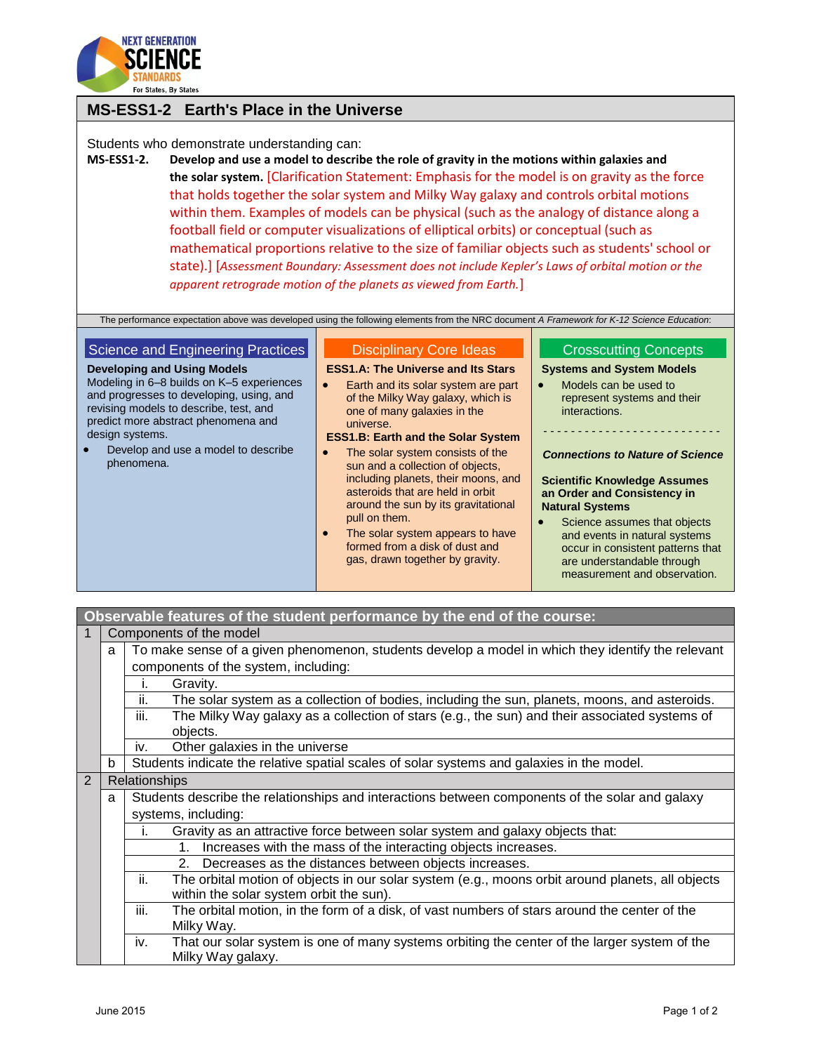

## **MS-ESS1-2 Earth's Place in the Universe**

Students who demonstrate understanding can:

**MS-ESS1-2. Develop and use a model to describe the role of gravity in the motions within galaxies and the solar system.** [Clarification Statement: Emphasis for the model is on gravity as the force that holds together the solar system and Milky Way galaxy and controls orbital motions within them. Examples of models can be physical (such as the analogy of distance along a football field or computer visualizations of elliptical orbits) or conceptual (such as mathematical proportions relative to the size of familiar objects such as students' school or state).] [*Assessment Boundary: Assessment does not include Kepler's Laws of orbital motion or the apparent retrograde motion of the planets as viewed from Earth.*]

The performance expectation above was developed using the following elements from the NRC document *A Framework for K-12 Science Education*:

| Science and Engineering Practices                                                                                                                                                                                                                                                    | <b>Disciplinary Core Ideas</b>                                                                                                                                                                                                                                                                                                                                                                                                                                                                                                                                            | <b>Crosscutting Concepts</b>                                                                                                                                                                                                                                                                                                                                                                                                          |
|--------------------------------------------------------------------------------------------------------------------------------------------------------------------------------------------------------------------------------------------------------------------------------------|---------------------------------------------------------------------------------------------------------------------------------------------------------------------------------------------------------------------------------------------------------------------------------------------------------------------------------------------------------------------------------------------------------------------------------------------------------------------------------------------------------------------------------------------------------------------------|---------------------------------------------------------------------------------------------------------------------------------------------------------------------------------------------------------------------------------------------------------------------------------------------------------------------------------------------------------------------------------------------------------------------------------------|
| <b>Developing and Using Models</b><br>Modeling in 6–8 builds on K–5 experiences<br>and progresses to developing, using, and<br>revising models to describe, test, and<br>predict more abstract phenomena and<br>design systems.<br>Develop and use a model to describe<br>phenomena. | <b>ESS1.A: The Universe and Its Stars</b><br>Earth and its solar system are part<br>$\bullet$<br>of the Milky Way galaxy, which is<br>one of many galaxies in the<br>universe.<br><b>ESS1.B: Earth and the Solar System</b><br>The solar system consists of the<br>$\bullet$<br>sun and a collection of objects,<br>including planets, their moons, and<br>asteroids that are held in orbit<br>around the sun by its gravitational<br>pull on them.<br>The solar system appears to have<br>$\bullet$<br>formed from a disk of dust and<br>gas, drawn together by gravity. | <b>Systems and System Models</b><br>Models can be used to<br>$\bullet$<br>represent systems and their<br>interactions.<br><b>Connections to Nature of Science</b><br><b>Scientific Knowledge Assumes</b><br>an Order and Consistency in<br><b>Natural Systems</b><br>Science assumes that objects<br>and events in natural systems<br>occur in consistent patterns that<br>are understandable through<br>measurement and observation. |

## **Observable features of the student performance by the end of the course:**

|   |                                                                                                        | Components of the model                                                                                 |  |  |
|---|--------------------------------------------------------------------------------------------------------|---------------------------------------------------------------------------------------------------------|--|--|
|   | To make sense of a given phenomenon, students develop a model in which they identify the relevant<br>a |                                                                                                         |  |  |
|   |                                                                                                        | components of the system, including:                                                                    |  |  |
|   | Gravity.<br>Τ.                                                                                         |                                                                                                         |  |  |
|   |                                                                                                        | ii.<br>The solar system as a collection of bodies, including the sun, planets, moons, and asteroids.    |  |  |
|   |                                                                                                        | iii.<br>The Milky Way galaxy as a collection of stars (e.g., the sun) and their associated systems of   |  |  |
|   |                                                                                                        | objects.                                                                                                |  |  |
|   |                                                                                                        | Other galaxies in the universe<br>İV.                                                                   |  |  |
|   | b                                                                                                      | Students indicate the relative spatial scales of solar systems and galaxies in the model.               |  |  |
| 2 |                                                                                                        | Relationships                                                                                           |  |  |
|   | a                                                                                                      | Students describe the relationships and interactions between components of the solar and galaxy         |  |  |
|   |                                                                                                        | systems, including:                                                                                     |  |  |
|   |                                                                                                        | Gravity as an attractive force between solar system and galaxy objects that:<br>ı.                      |  |  |
|   |                                                                                                        | Increases with the mass of the interacting objects increases.<br>$1_{-}$                                |  |  |
|   |                                                                                                        | 2. Decreases as the distances between objects increases.                                                |  |  |
|   |                                                                                                        | ii.<br>The orbital motion of objects in our solar system (e.g., moons orbit around planets, all objects |  |  |
|   |                                                                                                        | within the solar system orbit the sun).                                                                 |  |  |
|   |                                                                                                        | iii.<br>The orbital motion, in the form of a disk, of vast numbers of stars around the center of the    |  |  |
|   |                                                                                                        | Milky Way.                                                                                              |  |  |
|   |                                                                                                        | That our solar system is one of many systems orbiting the center of the larger system of the<br>iv.     |  |  |
|   |                                                                                                        | Milky Way galaxy.                                                                                       |  |  |